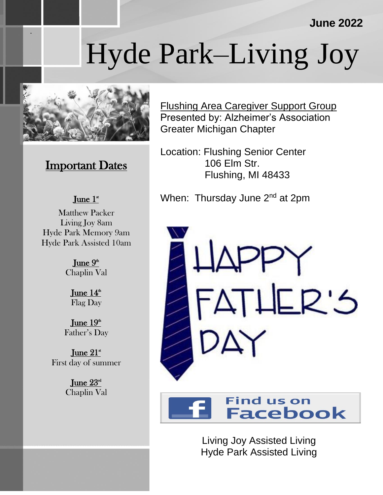### **June 2022**

# Hyde Park–Living Joy



.

## **Important Dates**

#### June  $1^*$

Matthew Packer Living Joy 8am Hyde Park Memory 9am Hyde Park Assisted 10am

> June  $9<sup>th</sup>$ Chaplin Val

> > June  $14<sup>th</sup>$ Flag Day

June  $19<sup>th</sup>$ Father's Day

June  $21^*$ First day of summer

> June  $23^{\text{\tiny{nd}}}$ Chaplin Val

Flushing Area Caregiver Support Group Presented by: Alzheimer's Association Greater Michigan Chapter

Location: Flushing Senior Center 106 Elm Str. Flushing, MI 48433

When: Thursday June 2<sup>nd</sup> at 2pm





Living Joy Assisted Living Hyde Park Assisted Living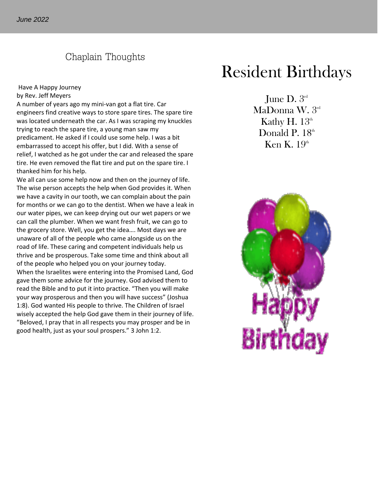#### Chaplain Thoughts

#### Have A Happy Journey by Rev. Jeff Meyers

A number of years ago my mini-van got a flat tire. Car engineers find creative ways to store spare tires. The spare tire was located underneath the car. As I was scraping my knuckles trying to reach the spare tire, a young man saw my predicament. He asked if I could use some help. I was a bit embarrassed to accept his offer, but I did. With a sense of relief, I watched as he got under the car and released the spare tire. He even removed the flat tire and put on the spare tire. I thanked him for his help.

We all can use some help now and then on the journey of life. The wise person accepts the help when God provides it. When we have a cavity in our tooth, we can complain about the pain for months or we can go to the dentist. When we have a leak in our water pipes, we can keep drying out our wet papers or we can call the plumber. When we want fresh fruit, we can go to the grocery store. Well, you get the idea…. Most days we are unaware of all of the people who came alongside us on the road of life. These caring and competent individuals help us thrive and be prosperous. Take some time and think about all of the people who helped you on your journey today. When the Israelites were entering into the Promised Land, God gave them some advice for the journey. God advised them to read the Bible and to put it into practice. "Then you will make your way prosperous and then you will have success" (Joshua 1:8). God wanted His people to thrive. The Children of Israel wisely accepted the help God gave them in their journey of life. "Beloved, I pray that in all respects you may prosper and be in good health, just as your soul prospers." 3 John 1:2.

# Resident Birthdays

June D.  $3<sup>rd</sup>$ MaDonna W. 3rd Kathy H.  $13<sup>th</sup>$ Donald P.  $18<sup>th</sup>$ Ken K.  $19<sup>th</sup>$ 

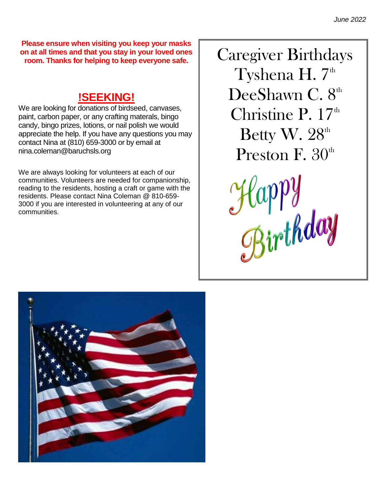**Please ensure when visiting you keep your masks on at all times and that you stay in your loved ones room. Thanks for helping to keep everyone safe.**

# **!SEEKING!**

We are looking for donations of birdseed, canvases, paint, carbon paper, or any crafting materals, bingo candy, bingo prizes, lotions, or nail polish we would appreciate the help. If you have any questions you may contact Nina at (810) 659-3000 or by email at nina.coleman@baruchsls.org

We are always looking for volunteers at each of our communities. Volunteers are needed for companionship, reading to the residents, hosting a craft or game with the residents. Please contact Nina Coleman @ 810-659- 3000 if you are interested in volunteering at any of our communities.

Caregiver Birthdays Tyshena H.  $7<sup>th</sup>$ DeeShawn C.  $8<sup>th</sup>$ Christine P.  $17<sup>th</sup>$ Betty W. 28<sup>th</sup> Preston F.  $30<sup>th</sup>$ 

Happy